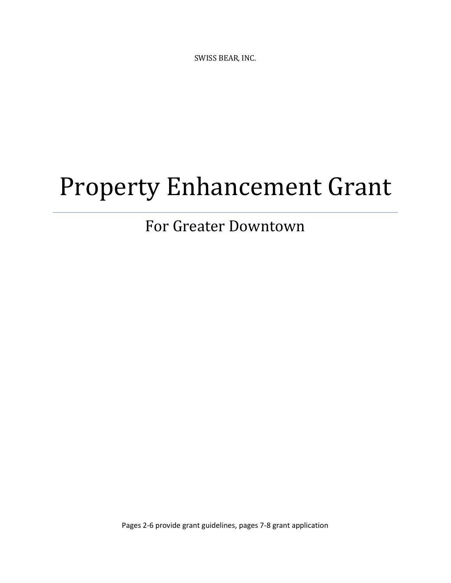SWISS BEAR, INC.

# Property Enhancement Grant

# For Greater Downtown

Pages 2-6 provide grant guidelines, pages 7-8 grant application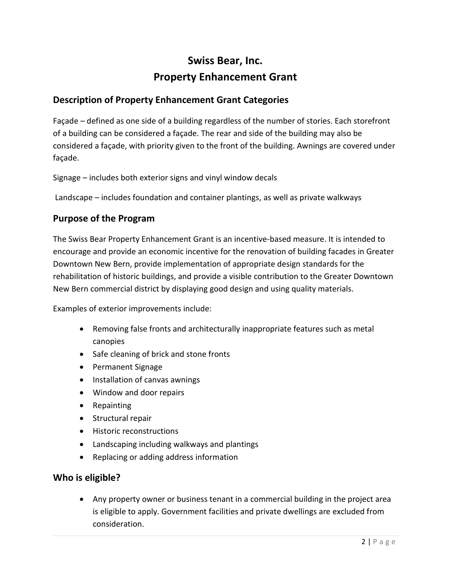### **Swiss Bear, Inc. Property Enhancement Grant**

#### **Description of Property Enhancement Grant Categories**

Façade – defined as one side of a building regardless of the number of stories. Each storefront of a building can be considered a façade. The rear and side of the building may also be considered a façade, with priority given to the front of the building. Awnings are covered under façade.

Signage – includes both exterior signs and vinyl window decals

Landscape – includes foundation and container plantings, as well as private walkways

#### **Purpose of the Program**

The Swiss Bear Property Enhancement Grant is an incentive-based measure. It is intended to encourage and provide an economic incentive for the renovation of building facades in Greater Downtown New Bern, provide implementation of appropriate design standards for the rehabilitation of historic buildings, and provide a visible contribution to the Greater Downtown New Bern commercial district by displaying good design and using quality materials.

Examples of exterior improvements include:

- Removing false fronts and architecturally inappropriate features such as metal canopies
- Safe cleaning of brick and stone fronts
- Permanent Signage
- Installation of canvas awnings
- Window and door repairs
- Repainting
- Structural repair
- Historic reconstructions
- Landscaping including walkways and plantings
- Replacing or adding address information

#### **Who is eligible?**

• Any property owner or business tenant in a commercial building in the project area is eligible to apply. Government facilities and private dwellings are excluded from consideration.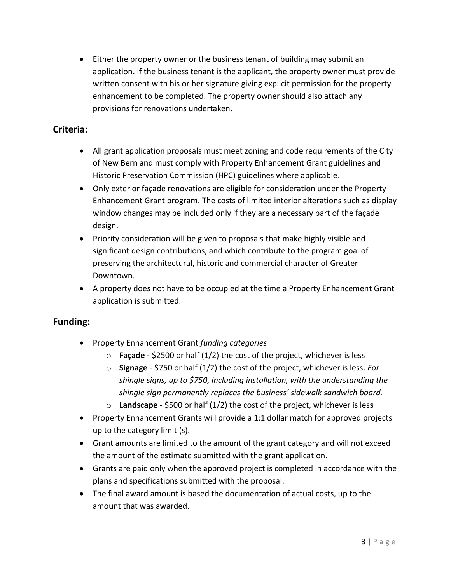• Either the property owner or the business tenant of building may submit an application. If the business tenant is the applicant, the property owner must provide written consent with his or her signature giving explicit permission for the property enhancement to be completed. The property owner should also attach any provisions for renovations undertaken.

#### **Criteria:**

- All grant application proposals must meet zoning and code requirements of the City of New Bern and must comply with Property Enhancement Grant guidelines and Historic Preservation Commission (HPC) guidelines where applicable.
- Only exterior façade renovations are eligible for consideration under the Property Enhancement Grant program. The costs of limited interior alterations such as display window changes may be included only if they are a necessary part of the façade design.
- Priority consideration will be given to proposals that make highly visible and significant design contributions, and which contribute to the program goal of preserving the architectural, historic and commercial character of Greater Downtown.
- A property does not have to be occupied at the time a Property Enhancement Grant application is submitted.

#### **Funding:**

- Property Enhancement Grant *funding categories*
	- o **Façade** \$2500 or half (1/2) the cost of the project, whichever is less
	- o **Signage** \$750 or half (1/2) the cost of the project, whichever is less. *For shingle signs, up to \$750, including installation, with the understanding the shingle sign permanently replaces the business' sidewalk sandwich board.*
	- o **Landscape** \$500 or half (1/2) the cost of the project, whichever is les**s**
- Property Enhancement Grants will provide a 1:1 dollar match for approved projects up to the category limit (s).
- Grant amounts are limited to the amount of the grant category and will not exceed the amount of the estimate submitted with the grant application.
- Grants are paid only when the approved project is completed in accordance with the plans and specifications submitted with the proposal.
- The final award amount is based the documentation of actual costs, up to the amount that was awarded.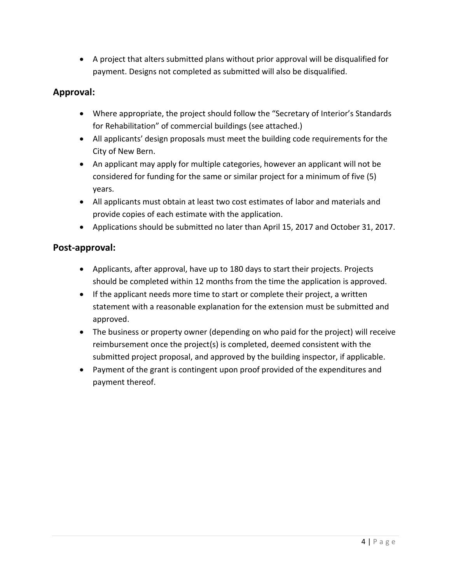• A project that alters submitted plans without prior approval will be disqualified for payment. Designs not completed as submitted will also be disqualified.

#### **Approval:**

- Where appropriate, the project should follow the "Secretary of Interior's Standards for Rehabilitation" of commercial buildings (see attached.)
- All applicants' design proposals must meet the building code requirements for the City of New Bern.
- An applicant may apply for multiple categories, however an applicant will not be considered for funding for the same or similar project for a minimum of five (5) years.
- All applicants must obtain at least two cost estimates of labor and materials and provide copies of each estimate with the application.
- Applications should be submitted no later than April 15, 2017 and October 31, 2017.

#### **Post-approval:**

- Applicants, after approval, have up to 180 days to start their projects. Projects should be completed within 12 months from the time the application is approved.
- If the applicant needs more time to start or complete their project, a written statement with a reasonable explanation for the extension must be submitted and approved.
- The business or property owner (depending on who paid for the project) will receive reimbursement once the project(s) is completed, deemed consistent with the submitted project proposal, and approved by the building inspector, if applicable.
- Payment of the grant is contingent upon proof provided of the expenditures and payment thereof.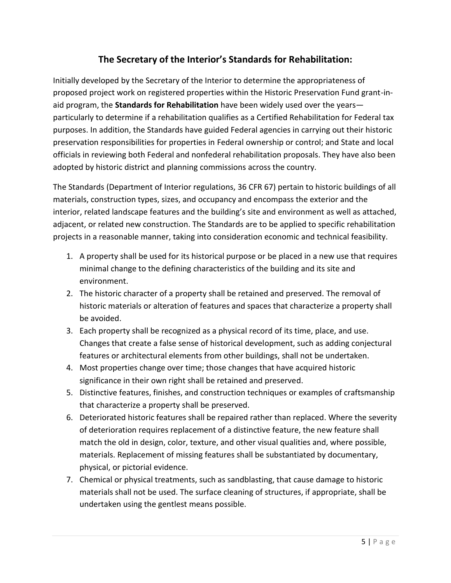#### **The Secretary of the Interior's Standards for Rehabilitation:**

Initially developed by the Secretary of the Interior to determine the appropriateness of proposed project work on registered properties within the Historic Preservation Fund grant-inaid program, the **Standards for Rehabilitation** have been widely used over the years particularly to determine if a rehabilitation qualifies as a Certified Rehabilitation for Federal tax purposes. In addition, the Standards have guided Federal agencies in carrying out their historic preservation responsibilities for properties in Federal ownership or control; and State and local officials in reviewing both Federal and nonfederal rehabilitation proposals. They have also been adopted by historic district and planning commissions across the country.

The Standards (Department of Interior regulations, 36 CFR 67) pertain to historic buildings of all materials, construction types, sizes, and occupancy and encompass the exterior and the interior, related landscape features and the building's site and environment as well as attached, adjacent, or related new construction. The Standards are to be applied to specific rehabilitation projects in a reasonable manner, taking into consideration economic and technical feasibility.

- 1. A property shall be used for its historical purpose or be placed in a new use that requires minimal change to the defining characteristics of the building and its site and environment.
- 2. The historic character of a property shall be retained and preserved. The removal of historic materials or alteration of features and spaces that characterize a property shall be avoided.
- 3. Each property shall be recognized as a physical record of its time, place, and use. Changes that create a false sense of historical development, such as adding conjectural features or architectural elements from other buildings, shall not be undertaken.
- 4. Most properties change over time; those changes that have acquired historic significance in their own right shall be retained and preserved.
- 5. Distinctive features, finishes, and construction techniques or examples of craftsmanship that characterize a property shall be preserved.
- 6. Deteriorated historic features shall be repaired rather than replaced. Where the severity of deterioration requires replacement of a distinctive feature, the new feature shall match the old in design, color, texture, and other visual qualities and, where possible, materials. Replacement of missing features shall be substantiated by documentary, physical, or pictorial evidence.
- 7. Chemical or physical treatments, such as sandblasting, that cause damage to historic materials shall not be used. The surface cleaning of structures, if appropriate, shall be undertaken using the gentlest means possible.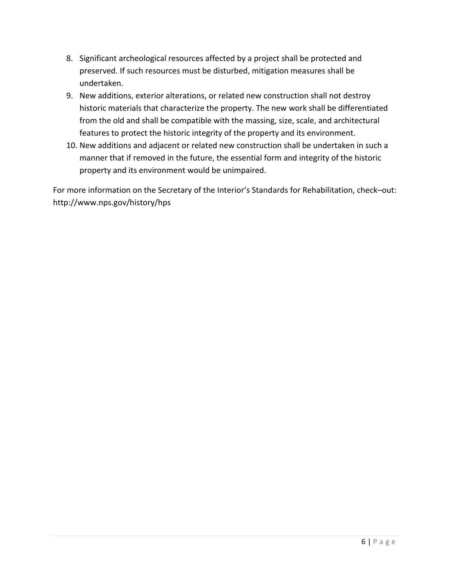- 8. Significant archeological resources affected by a project shall be protected and preserved. If such resources must be disturbed, mitigation measures shall be undertaken.
- 9. New additions, exterior alterations, or related new construction shall not destroy historic materials that characterize the property. The new work shall be differentiated from the old and shall be compatible with the massing, size, scale, and architectural features to protect the historic integrity of the property and its environment.
- 10. New additions and adjacent or related new construction shall be undertaken in such a manner that if removed in the future, the essential form and integrity of the historic property and its environment would be unimpaired.

For more information on the Secretary of the Interior's Standards for Rehabilitation, check–out: http://www.nps.gov/history/hps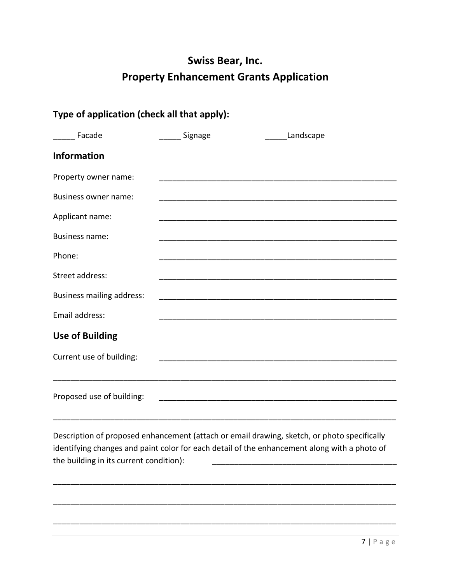## **Swiss Bear, Inc. Property Enhancement Grants Application**

| Type of application (check all that apply): |                 |                                                                                                                                                                                             |
|---------------------------------------------|-----------------|---------------------------------------------------------------------------------------------------------------------------------------------------------------------------------------------|
| Facade                                      | _______ Signage | Landscape                                                                                                                                                                                   |
| <b>Information</b>                          |                 |                                                                                                                                                                                             |
| Property owner name:                        |                 |                                                                                                                                                                                             |
| Business owner name:                        |                 |                                                                                                                                                                                             |
| Applicant name:                             |                 |                                                                                                                                                                                             |
| <b>Business name:</b>                       |                 |                                                                                                                                                                                             |
| Phone:                                      |                 |                                                                                                                                                                                             |
| Street address:                             |                 |                                                                                                                                                                                             |
| <b>Business mailing address:</b>            |                 | <u> 1989 - Jan James James Barnett, fransk politik (d. 1989)</u>                                                                                                                            |
| Email address:                              |                 | <u> 1980 - Johann Harry Harry Harry Harry Harry Harry Harry Harry Harry Harry Harry Harry Harry Harry Harry Harry</u>                                                                       |
| <b>Use of Building</b>                      |                 |                                                                                                                                                                                             |
| Current use of building:                    |                 |                                                                                                                                                                                             |
|                                             |                 |                                                                                                                                                                                             |
| Proposed use of building:                   |                 |                                                                                                                                                                                             |
|                                             |                 |                                                                                                                                                                                             |
| the building in its current condition):     |                 | Description of proposed enhancement (attach or email drawing, sketch, or photo specifically<br>identifying changes and paint color for each detail of the enhancement along with a photo of |
|                                             |                 |                                                                                                                                                                                             |
|                                             |                 |                                                                                                                                                                                             |

\_\_\_\_\_\_\_\_\_\_\_\_\_\_\_\_\_\_\_\_\_\_\_\_\_\_\_\_\_\_\_\_\_\_\_\_\_\_\_\_\_\_\_\_\_\_\_\_\_\_\_\_\_\_\_\_\_\_\_\_\_\_\_\_\_\_\_\_\_\_\_\_\_\_\_\_\_\_